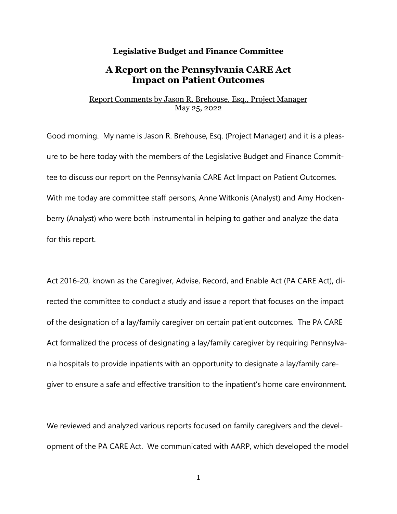## **Legislative Budget and Finance Committee**

## **A Report on the Pennsylvania CARE Act Impact on Patient Outcomes**

## Report Comments by Jason R. Brehouse, Esq., Project Manager May 25, 2022

Good morning. My name is Jason R. Brehouse, Esq. (Project Manager) and it is a pleasure to be here today with the members of the Legislative Budget and Finance Committee to discuss our report on the Pennsylvania CARE Act Impact on Patient Outcomes. With me today are committee staff persons, Anne Witkonis (Analyst) and Amy Hockenberry (Analyst) who were both instrumental in helping to gather and analyze the data for this report.

Act 2016-20, known as the Caregiver, Advise, Record, and Enable Act (PA CARE Act), directed the committee to conduct a study and issue a report that focuses on the impact of the designation of a lay/family caregiver on certain patient outcomes. The PA CARE Act formalized the process of designating a lay/family caregiver by requiring Pennsylvania hospitals to provide inpatients with an opportunity to designate a lay/family caregiver to ensure a safe and effective transition to the inpatient's home care environment.

We reviewed and analyzed various reports focused on family caregivers and the development of the PA CARE Act. We communicated with AARP, which developed the model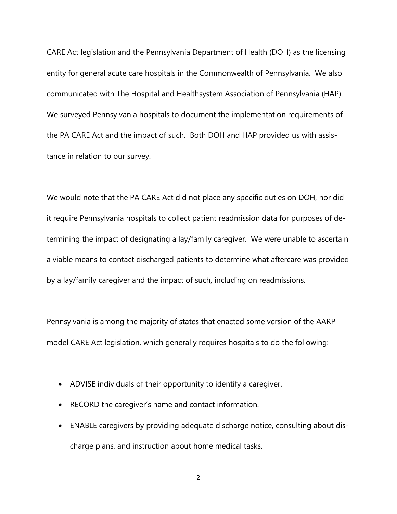CARE Act legislation and the Pennsylvania Department of Health (DOH) as the licensing entity for general acute care hospitals in the Commonwealth of Pennsylvania. We also communicated with The Hospital and Healthsystem Association of Pennsylvania (HAP). We surveyed Pennsylvania hospitals to document the implementation requirements of the PA CARE Act and the impact of such. Both DOH and HAP provided us with assistance in relation to our survey.

We would note that the PA CARE Act did not place any specific duties on DOH, nor did it require Pennsylvania hospitals to collect patient readmission data for purposes of determining the impact of designating a lay/family caregiver. We were unable to ascertain a viable means to contact discharged patients to determine what aftercare was provided by a lay/family caregiver and the impact of such, including on readmissions.

Pennsylvania is among the majority of states that enacted some version of the AARP model CARE Act legislation, which generally requires hospitals to do the following:

- ADVISE individuals of their opportunity to identify a caregiver.
- RECORD the caregiver's name and contact information.
- ENABLE caregivers by providing adequate discharge notice, consulting about discharge plans, and instruction about home medical tasks.

2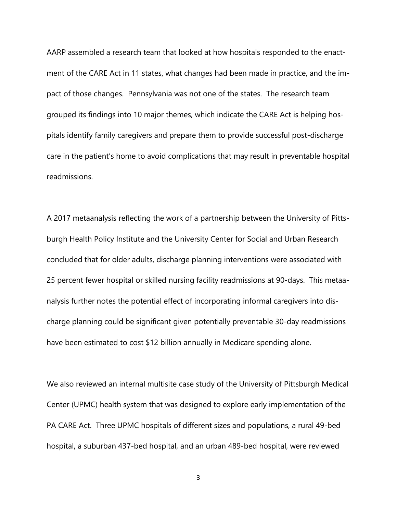AARP assembled a research team that looked at how hospitals responded to the enactment of the CARE Act in 11 states, what changes had been made in practice, and the impact of those changes. Pennsylvania was not one of the states. The research team grouped its findings into 10 major themes, which indicate the CARE Act is helping hospitals identify family caregivers and prepare them to provide successful post-discharge care in the patient's home to avoid complications that may result in preventable hospital readmissions.

A 2017 metaanalysis reflecting the work of a partnership between the University of Pittsburgh Health Policy Institute and the University Center for Social and Urban Research concluded that for older adults, discharge planning interventions were associated with 25 percent fewer hospital or skilled nursing facility readmissions at 90-days. This metaanalysis further notes the potential effect of incorporating informal caregivers into discharge planning could be significant given potentially preventable 30-day readmissions have been estimated to cost \$12 billion annually in Medicare spending alone.

We also reviewed an internal multisite case study of the University of Pittsburgh Medical Center (UPMC) health system that was designed to explore early implementation of the PA CARE Act. Three UPMC hospitals of different sizes and populations, a rural 49-bed hospital, a suburban 437-bed hospital, and an urban 489-bed hospital, were reviewed

3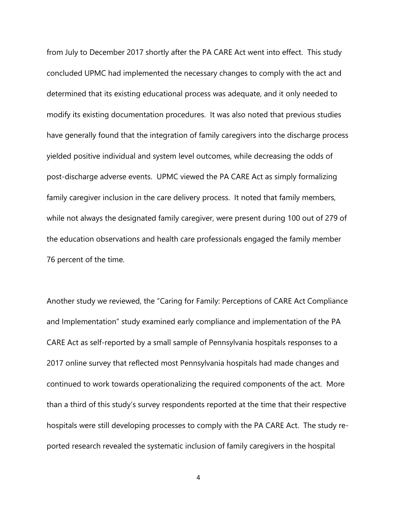from July to December 2017 shortly after the PA CARE Act went into effect. This study concluded UPMC had implemented the necessary changes to comply with the act and determined that its existing educational process was adequate, and it only needed to modify its existing documentation procedures. It was also noted that previous studies have generally found that the integration of family caregivers into the discharge process yielded positive individual and system level outcomes, while decreasing the odds of post-discharge adverse events. UPMC viewed the PA CARE Act as simply formalizing family caregiver inclusion in the care delivery process. It noted that family members, while not always the designated family caregiver, were present during 100 out of 279 of the education observations and health care professionals engaged the family member 76 percent of the time.

Another study we reviewed, the "Caring for Family: Perceptions of CARE Act Compliance and Implementation" study examined early compliance and implementation of the PA CARE Act as self-reported by a small sample of Pennsylvania hospitals responses to a 2017 online survey that reflected most Pennsylvania hospitals had made changes and continued to work towards operationalizing the required components of the act. More than a third of this study's survey respondents reported at the time that their respective hospitals were still developing processes to comply with the PA CARE Act. The study reported research revealed the systematic inclusion of family caregivers in the hospital

4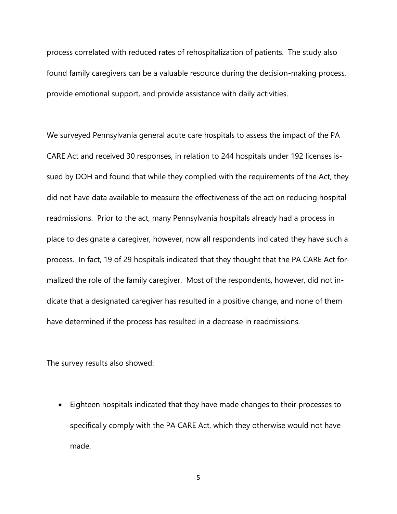process correlated with reduced rates of rehospitalization of patients. The study also found family caregivers can be a valuable resource during the decision-making process, provide emotional support, and provide assistance with daily activities.

We surveyed Pennsylvania general acute care hospitals to assess the impact of the PA CARE Act and received 30 responses, in relation to 244 hospitals under 192 licenses issued by DOH and found that while they complied with the requirements of the Act, they did not have data available to measure the effectiveness of the act on reducing hospital readmissions. Prior to the act, many Pennsylvania hospitals already had a process in place to designate a caregiver, however, now all respondents indicated they have such a process. In fact, 19 of 29 hospitals indicated that they thought that the PA CARE Act formalized the role of the family caregiver. Most of the respondents, however, did not indicate that a designated caregiver has resulted in a positive change, and none of them have determined if the process has resulted in a decrease in readmissions.

The survey results also showed:

• Eighteen hospitals indicated that they have made changes to their processes to specifically comply with the PA CARE Act, which they otherwise would not have made.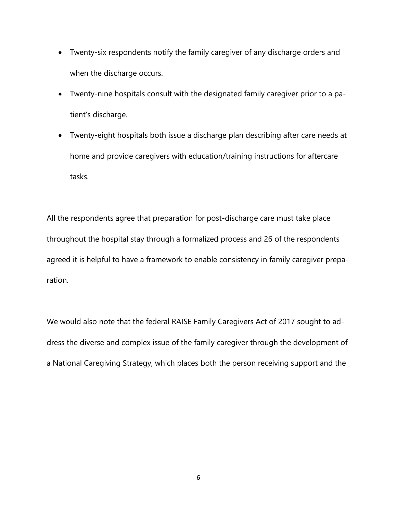- Twenty-six respondents notify the family caregiver of any discharge orders and when the discharge occurs.
- Twenty-nine hospitals consult with the designated family caregiver prior to a patient's discharge.
- Twenty-eight hospitals both issue a discharge plan describing after care needs at home and provide caregivers with education/training instructions for aftercare tasks.

All the respondents agree that preparation for post-discharge care must take place throughout the hospital stay through a formalized process and 26 of the respondents agreed it is helpful to have a framework to enable consistency in family caregiver preparation.

We would also note that the federal RAISE Family Caregivers Act of 2017 sought to address the diverse and complex issue of the family caregiver through the development of a National Caregiving Strategy, which places both the person receiving support and the